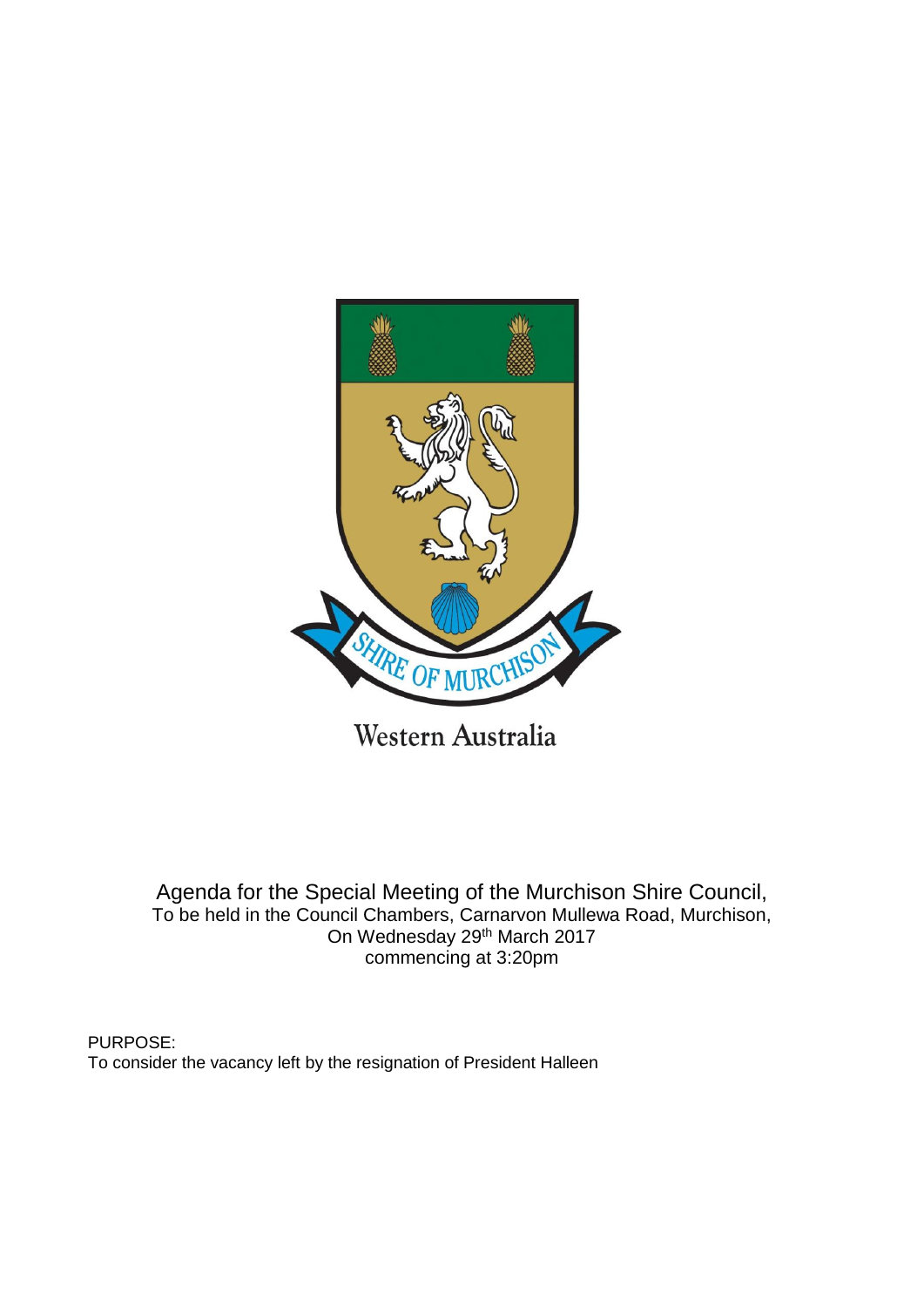

Western Australia

Agenda for the Special Meeting of the Murchison Shire Council, To be held in the Council Chambers, Carnarvon Mullewa Road, Murchison, On Wednesday 29th March 2017 commencing at 3:20pm

PURPOSE: To consider the vacancy left by the resignation of President Halleen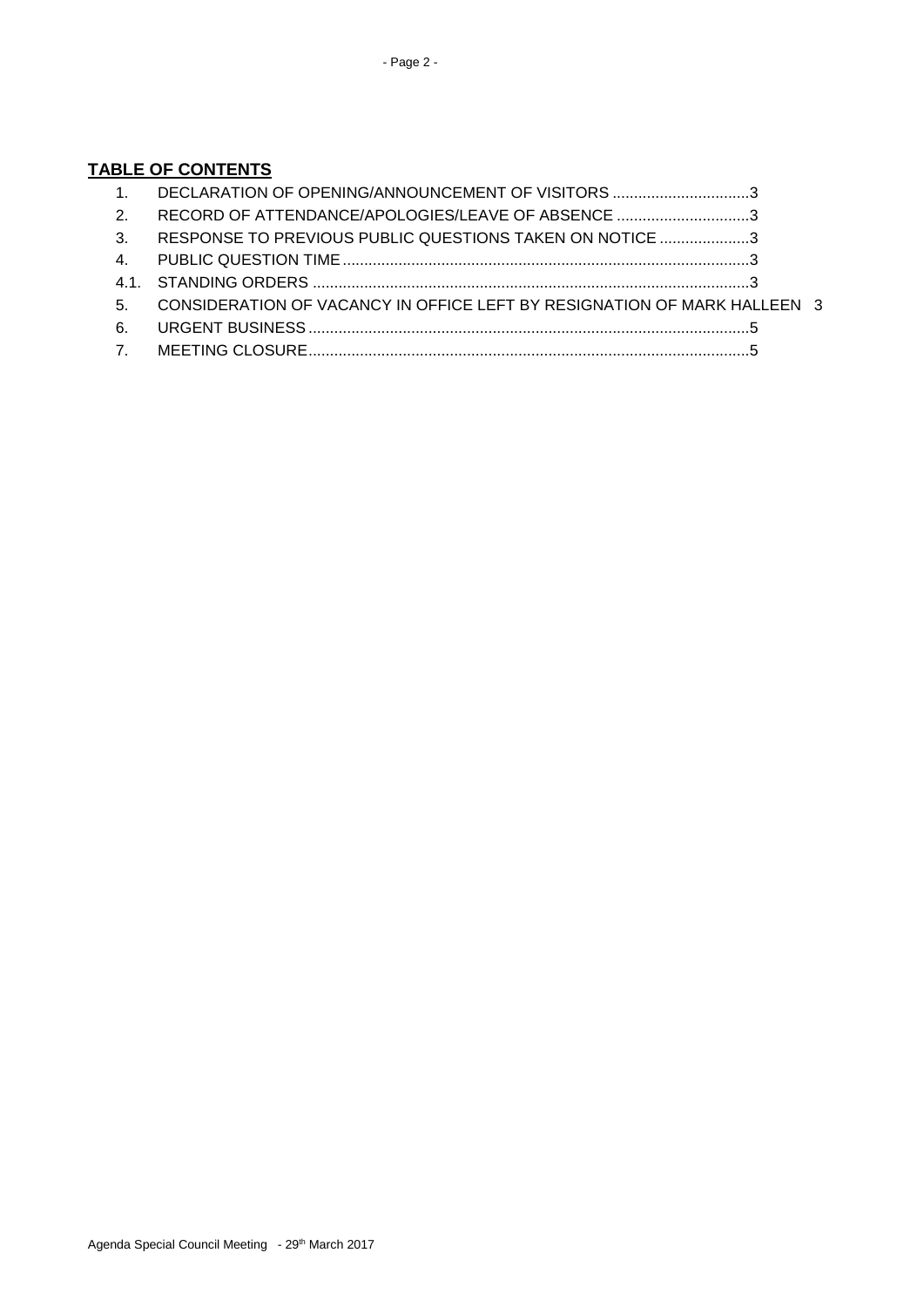## **TABLE OF CONTENTS**

|                | DECLARATION OF OPENING/ANNOUNCEMENT OF VISITORS 3                        |  |
|----------------|--------------------------------------------------------------------------|--|
| $\mathcal{P}$  | RECORD OF ATTENDANCE/APOLOGIES/LEAVE OF ABSENCE 3                        |  |
| $\mathbf{3}$   | RESPONSE TO PREVIOUS PUBLIC QUESTIONS TAKEN ON NOTICE 3                  |  |
|                |                                                                          |  |
|                |                                                                          |  |
| 5.             | CONSIDERATION OF VACANCY IN OFFICE LEFT BY RESIGNATION OF MARK HALLEEN 3 |  |
| - 6.           |                                                                          |  |
| $\overline{7}$ |                                                                          |  |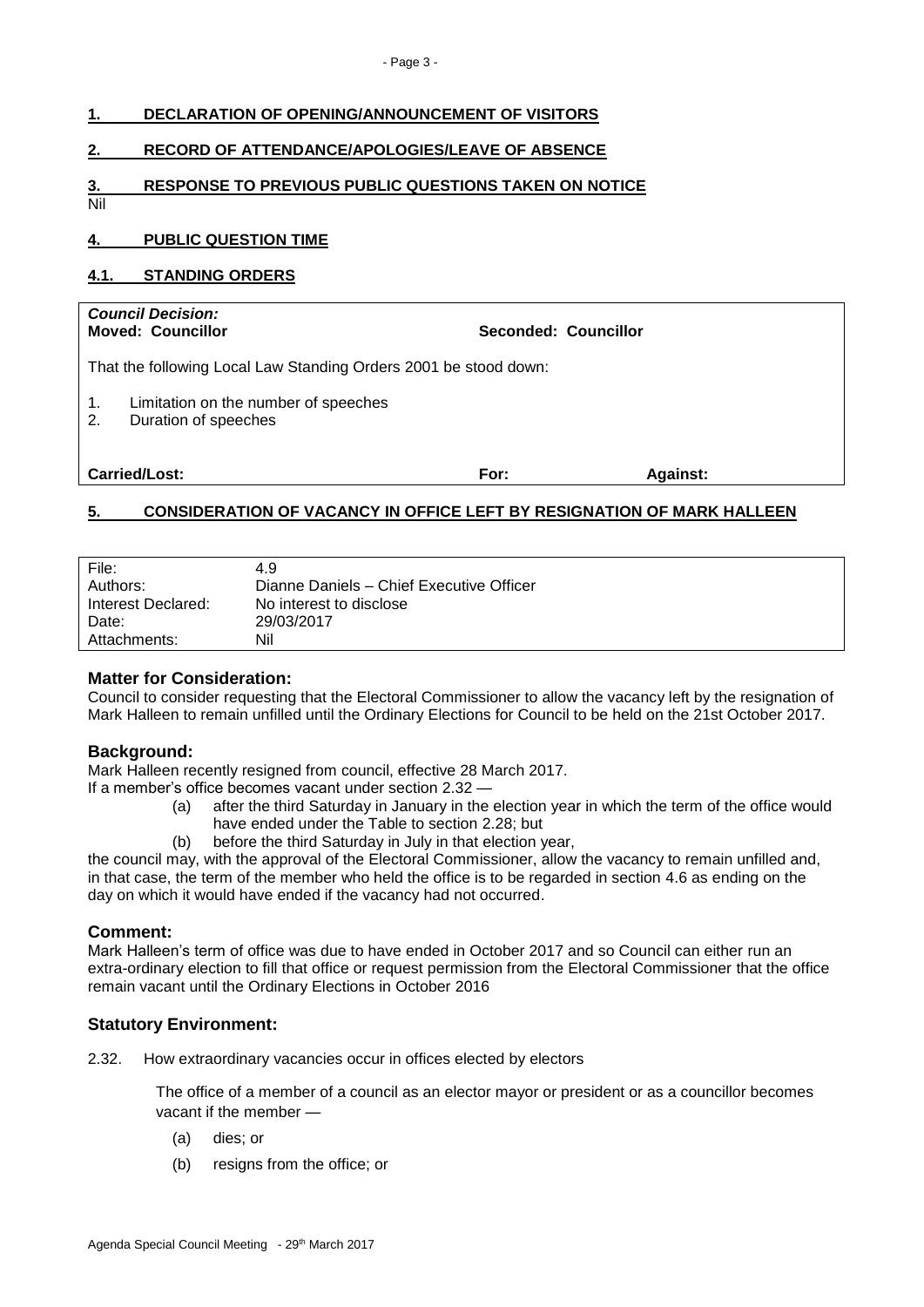<span id="page-2-4"></span><span id="page-2-3"></span><span id="page-2-2"></span><span id="page-2-1"></span><span id="page-2-0"></span>

|           | DECLARATION OF OPENING/ANNOUNCEMENT OF VISITORS                  |  |  |  |  |
|-----------|------------------------------------------------------------------|--|--|--|--|
| 2.        | <b>RECORD OF ATTENDANCE/APOLOGIES/LEAVE OF ABSENCE</b>           |  |  |  |  |
| 3.<br>Nil | <b>RESPONSE TO PREVIOUS PUBLIC QUESTIONS TAKEN ON NOTICE</b>     |  |  |  |  |
| 4.        | <b>PUBLIC QUESTION TIME</b>                                      |  |  |  |  |
|           |                                                                  |  |  |  |  |
| 4.1.      | <b>STANDING ORDERS</b>                                           |  |  |  |  |
|           | <b>Council Decision:</b>                                         |  |  |  |  |
|           | Seconded: Councillor<br><b>Moved: Councillor</b>                 |  |  |  |  |
|           | That the following Local Law Standing Orders 2001 be stood down: |  |  |  |  |

| <b>Carried/Lost:</b> | For: | <b>Against:</b> |
|----------------------|------|-----------------|
|----------------------|------|-----------------|

# <span id="page-2-5"></span>**5. CONSIDERATION OF VACANCY IN OFFICE LEFT BY RESIGNATION OF MARK HALLEEN**

| File:<br>Authors:  | 4.9<br>Dianne Daniels - Chief Executive Officer |
|--------------------|-------------------------------------------------|
| Interest Declared: | No interest to disclose                         |
| Date:              | 29/03/2017                                      |
| Attachments:       | Nil                                             |

### **Matter for Consideration:**

Council to consider requesting that the Electoral Commissioner to allow the vacancy left by the resignation of Mark Halleen to remain unfilled until the Ordinary Elections for Council to be held on the 21st October 2017.

### **Background:**

Mark Halleen recently resigned from council, effective 28 March 2017. If a member's office becomes vacant under section 2.32 —

- (a) after the third Saturday in January in the election year in which the term of the office would have ended under the Table to section 2.28; but
- (b) before the third Saturday in July in that election year,

the council may, with the approval of the Electoral Commissioner, allow the vacancy to remain unfilled and, in that case, the term of the member who held the office is to be regarded in section 4.6 as ending on the day on which it would have ended if the vacancy had not occurred.

### **Comment:**

Mark Halleen's term of office was due to have ended in October 2017 and so Council can either run an extra-ordinary election to fill that office or request permission from the Electoral Commissioner that the office remain vacant until the Ordinary Elections in October 2016

# **Statutory Environment:**

2.32. How extraordinary vacancies occur in offices elected by electors

The office of a member of a council as an elector mayor or president or as a councillor becomes vacant if the member —

- (a) dies; or
- (b) resigns from the office; or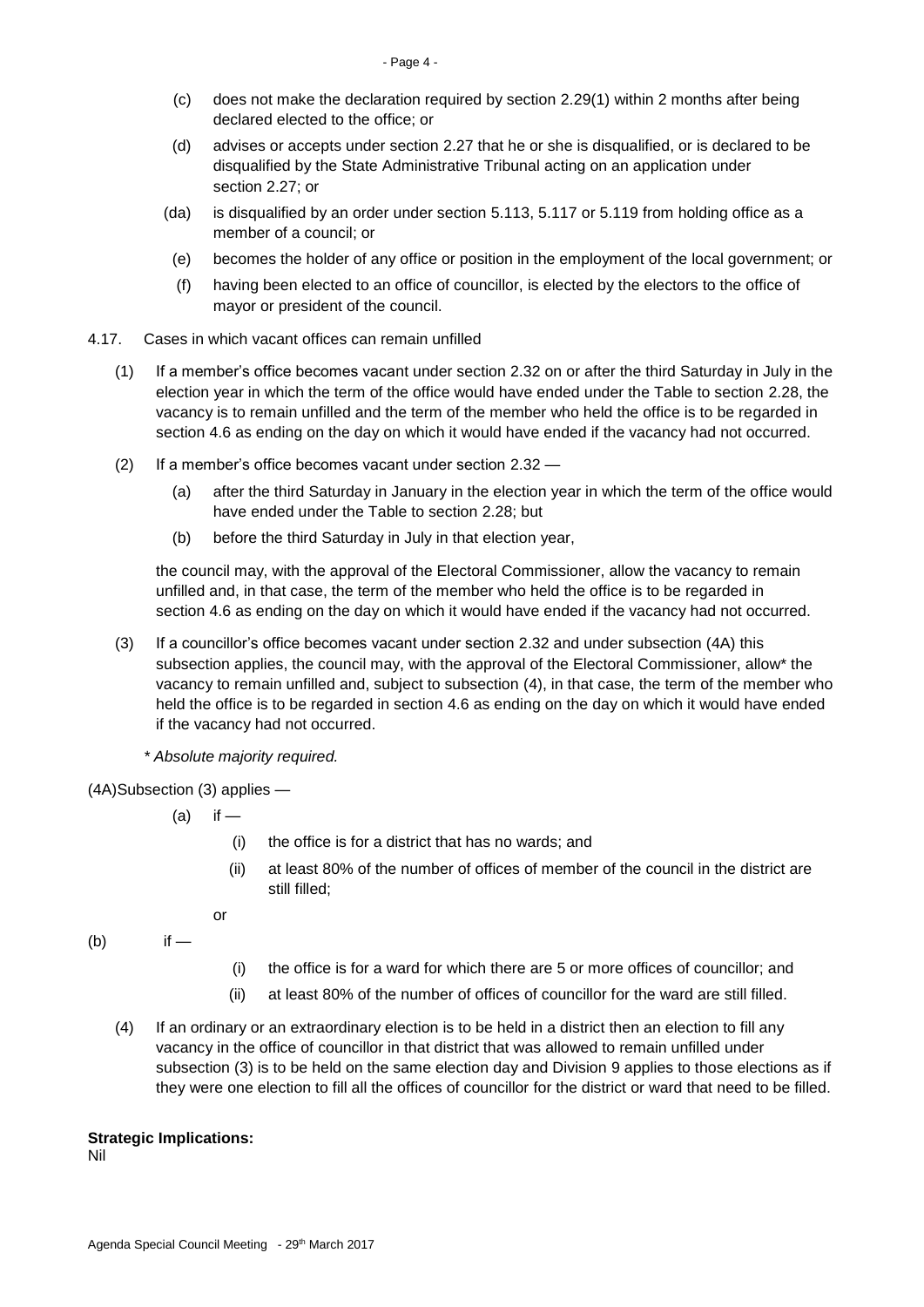- (c) does not make the declaration required by section 2.29(1) within 2 months after being declared elected to the office; or
- (d) advises or accepts under section 2.27 that he or she is disqualified, or is declared to be disqualified by the State Administrative Tribunal acting on an application under section 2.27; or
- (da) is disqualified by an order under section 5.113, 5.117 or 5.119 from holding office as a member of a council; or
- (e) becomes the holder of any office or position in the employment of the local government; or
- (f) having been elected to an office of councillor, is elected by the electors to the office of mayor or president of the council.
- 4.17. Cases in which vacant offices can remain unfilled
	- (1) If a member's office becomes vacant under section 2.32 on or after the third Saturday in July in the election year in which the term of the office would have ended under the Table to section 2.28, the vacancy is to remain unfilled and the term of the member who held the office is to be regarded in section 4.6 as ending on the day on which it would have ended if the vacancy had not occurred.
	- (2) If a member's office becomes vacant under section 2.32
		- (a) after the third Saturday in January in the election year in which the term of the office would have ended under the Table to section 2.28; but
		- (b) before the third Saturday in July in that election year,

the council may, with the approval of the Electoral Commissioner, allow the vacancy to remain unfilled and, in that case, the term of the member who held the office is to be regarded in section 4.6 as ending on the day on which it would have ended if the vacancy had not occurred.

- (3) If a councillor's office becomes vacant under section 2.32 and under subsection (4A) this subsection applies, the council may, with the approval of the Electoral Commissioner, allow\* the vacancy to remain unfilled and, subject to subsection (4), in that case, the term of the member who held the office is to be regarded in section 4.6 as ending on the day on which it would have ended if the vacancy had not occurred.
	- *\* Absolute majority required.*
- (4A)Subsection (3) applies
	- $(a)$  if
		- (i) the office is for a district that has no wards; and
		- (ii) at least 80% of the number of offices of member of the council in the district are still filled;
		- or
- (b) if —
- (i) the office is for a ward for which there are 5 or more offices of councillor; and
- (ii) at least 80% of the number of offices of councillor for the ward are still filled.
- (4) If an ordinary or an extraordinary election is to be held in a district then an election to fill any vacancy in the office of councillor in that district that was allowed to remain unfilled under subsection (3) is to be held on the same election day and Division 9 applies to those elections as if they were one election to fill all the offices of councillor for the district or ward that need to be filled.

#### **Strategic Implications:**

Nil